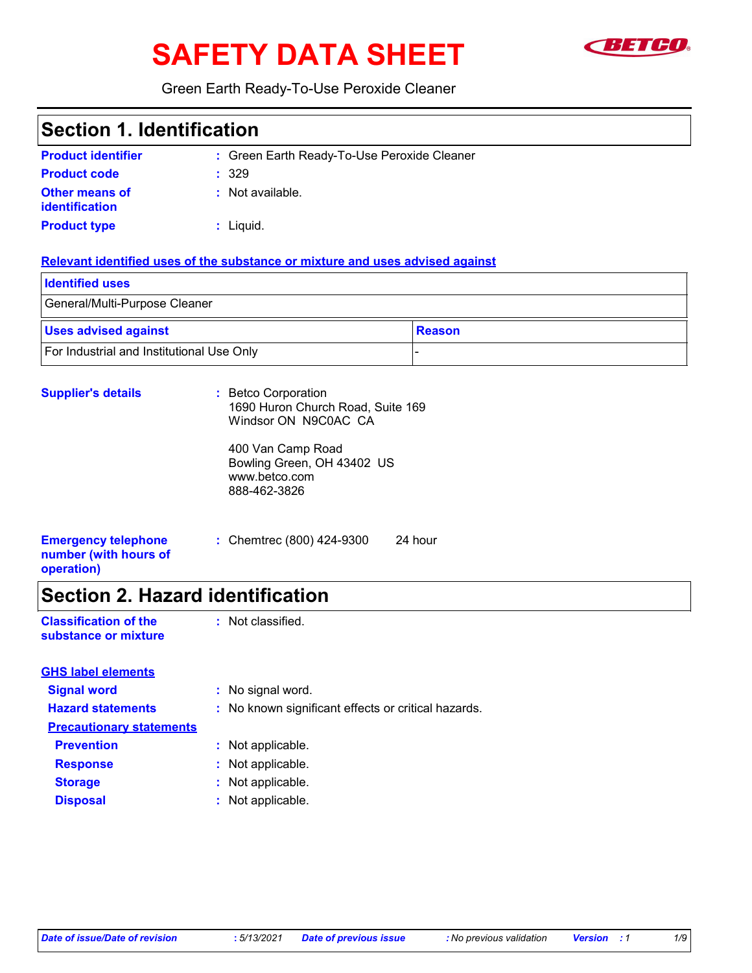# SAFETY DATA SHEET **SETCO**



Green Earth Ready-To-Use Peroxide Cleaner

### **Section 1. Identification**

| <b>Product identifier</b>               | : Green Earth Ready-To-Use Peroxide Cleaner |
|-----------------------------------------|---------------------------------------------|
| <b>Product code</b>                     | : 329                                       |
| <b>Other means of</b><br>identification | : Not available.                            |
| <b>Product type</b>                     | $:$ Liquid.                                 |

#### **Relevant identified uses of the substance or mixture and uses advised against**

| <b>Identified uses</b>                           |               |  |  |
|--------------------------------------------------|---------------|--|--|
| General/Multi-Purpose Cleaner                    |               |  |  |
| <b>Uses advised against</b>                      | <b>Reason</b> |  |  |
| <b>For Industrial and Institutional Use Only</b> |               |  |  |

| <b>Supplier's details</b>                                         | : Betco Corporation<br>1690 Huron Church Road, Suite 169<br>Windsor ON N9C0AC CA |         |
|-------------------------------------------------------------------|----------------------------------------------------------------------------------|---------|
|                                                                   | 400 Van Camp Road<br>Bowling Green, OH 43402 US<br>www.betco.com<br>888-462-3826 |         |
| <b>Emergency telephone</b><br>number (with hours of<br>operation) | : Chemtrec $(800)$ 424-9300                                                      | 24 hour |

## **Section 2. Hazard identification**

| <b>Classification of the</b> | : Not classified. |
|------------------------------|-------------------|
| substance or mixture         |                   |

| <b>GHS label elements</b>       |                                                     |
|---------------------------------|-----------------------------------------------------|
| <b>Signal word</b>              | : No signal word.                                   |
| <b>Hazard statements</b>        | : No known significant effects or critical hazards. |
| <b>Precautionary statements</b> |                                                     |
| <b>Prevention</b>               | : Not applicable.                                   |
| <b>Response</b>                 | : Not applicable.                                   |
| <b>Storage</b>                  | : Not applicable.                                   |
| <b>Disposal</b>                 | : Not applicable.                                   |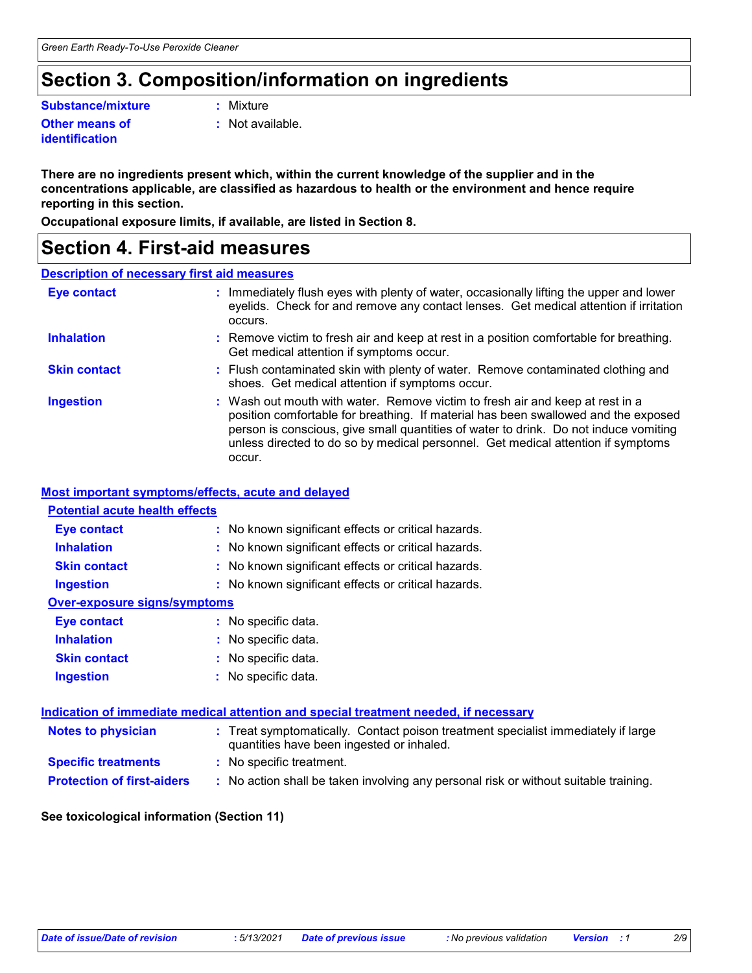### **Section 3. Composition/information on ingredients**

**Substance/mixture :**

**Other means of identification**

: Mixture

**:** Not available.

**There are no ingredients present which, within the current knowledge of the supplier and in the concentrations applicable, are classified as hazardous to health or the environment and hence require reporting in this section.**

**Occupational exposure limits, if available, are listed in Section 8.**

### **Section 4. First-aid measures**

#### **Description of necessary first aid measures**

| <b>Eye contact</b>  | : Immediately flush eyes with plenty of water, occasionally lifting the upper and lower<br>eyelids. Check for and remove any contact lenses. Get medical attention if irritation<br>occurs.                                                                                                                                                               |
|---------------------|-----------------------------------------------------------------------------------------------------------------------------------------------------------------------------------------------------------------------------------------------------------------------------------------------------------------------------------------------------------|
| <b>Inhalation</b>   | : Remove victim to fresh air and keep at rest in a position comfortable for breathing.<br>Get medical attention if symptoms occur.                                                                                                                                                                                                                        |
| <b>Skin contact</b> | : Flush contaminated skin with plenty of water. Remove contaminated clothing and<br>shoes. Get medical attention if symptoms occur.                                                                                                                                                                                                                       |
| <b>Ingestion</b>    | : Wash out mouth with water. Remove victim to fresh air and keep at rest in a<br>position comfortable for breathing. If material has been swallowed and the exposed<br>person is conscious, give small quantities of water to drink. Do not induce vomiting<br>unless directed to do so by medical personnel. Get medical attention if symptoms<br>occur. |

#### **Most important symptoms/effects, acute and delayed**

| <b>Potential acute health effects</b> |                                                                                                                                |
|---------------------------------------|--------------------------------------------------------------------------------------------------------------------------------|
| <b>Eye contact</b>                    | : No known significant effects or critical hazards.                                                                            |
| <b>Inhalation</b>                     | : No known significant effects or critical hazards.                                                                            |
| <b>Skin contact</b>                   | : No known significant effects or critical hazards.                                                                            |
| <b>Ingestion</b>                      | : No known significant effects or critical hazards.                                                                            |
| <b>Over-exposure signs/symptoms</b>   |                                                                                                                                |
| Eye contact                           | : No specific data.                                                                                                            |
| <b>Inhalation</b>                     | : No specific data.                                                                                                            |
| <b>Skin contact</b>                   | : No specific data.                                                                                                            |
| <b>Ingestion</b>                      | : No specific data.                                                                                                            |
|                                       | Indication of immediate medical attention and special treatment needed, if necessary                                           |
| <b>Notes to physician</b>             | : Treat symptomatically. Contact poison treatment specialist immediately if large<br>quantities have been ingested or inhaled. |
| <b>Specific treatments</b>            | : No specific treatment.                                                                                                       |
| <b>Protection of first-aiders</b>     | : No action shall be taken involving any personal risk or without suitable training.                                           |

#### **See toxicological information (Section 11)**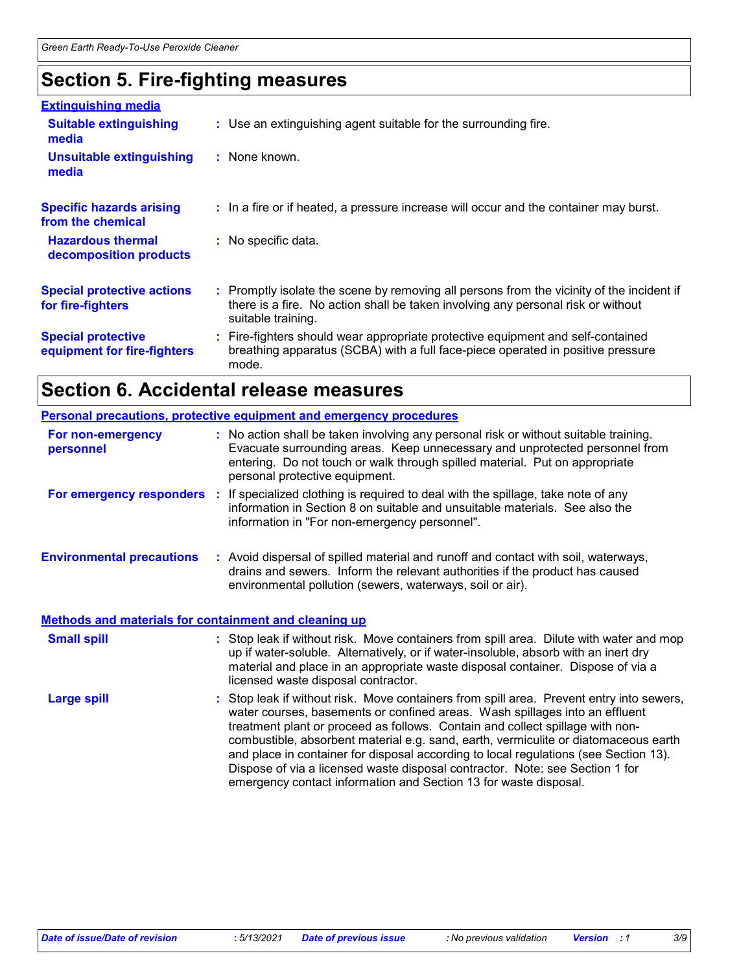### **Section 5. Fire-fighting measures**

| <b>Extinguishing media</b>                               |                                                                                                                                                                                                     |
|----------------------------------------------------------|-----------------------------------------------------------------------------------------------------------------------------------------------------------------------------------------------------|
| <b>Suitable extinguishing</b><br>media                   | : Use an extinguishing agent suitable for the surrounding fire.                                                                                                                                     |
| <b>Unsuitable extinguishing</b><br>media                 | : None known.                                                                                                                                                                                       |
| <b>Specific hazards arising</b><br>from the chemical     | : In a fire or if heated, a pressure increase will occur and the container may burst.                                                                                                               |
| <b>Hazardous thermal</b><br>decomposition products       | : No specific data.                                                                                                                                                                                 |
| <b>Special protective actions</b><br>for fire-fighters   | : Promptly isolate the scene by removing all persons from the vicinity of the incident if<br>there is a fire. No action shall be taken involving any personal risk or without<br>suitable training. |
| <b>Special protective</b><br>equipment for fire-fighters | : Fire-fighters should wear appropriate protective equipment and self-contained<br>breathing apparatus (SCBA) with a full face-piece operated in positive pressure<br>mode.                         |

# **Section 6. Accidental release measures**

|                                                                                                  | <b>Personal precautions, protective equipment and emergency procedures</b>                                                                                                                                                                                                                                                                                                                                                                                                                                                                                                                  |
|--------------------------------------------------------------------------------------------------|---------------------------------------------------------------------------------------------------------------------------------------------------------------------------------------------------------------------------------------------------------------------------------------------------------------------------------------------------------------------------------------------------------------------------------------------------------------------------------------------------------------------------------------------------------------------------------------------|
| For non-emergency<br>personnel                                                                   | : No action shall be taken involving any personal risk or without suitable training.<br>Evacuate surrounding areas. Keep unnecessary and unprotected personnel from<br>entering. Do not touch or walk through spilled material. Put on appropriate<br>personal protective equipment.                                                                                                                                                                                                                                                                                                        |
|                                                                                                  | For emergency responders : If specialized clothing is required to deal with the spillage, take note of any<br>information in Section 8 on suitable and unsuitable materials. See also the<br>information in "For non-emergency personnel".                                                                                                                                                                                                                                                                                                                                                  |
| <b>Environmental precautions</b><br><b>Methods and materials for containment and cleaning up</b> | : Avoid dispersal of spilled material and runoff and contact with soil, waterways,<br>drains and sewers. Inform the relevant authorities if the product has caused<br>environmental pollution (sewers, waterways, soil or air).                                                                                                                                                                                                                                                                                                                                                             |
|                                                                                                  |                                                                                                                                                                                                                                                                                                                                                                                                                                                                                                                                                                                             |
| <b>Small spill</b>                                                                               | : Stop leak if without risk. Move containers from spill area. Dilute with water and mop<br>up if water-soluble. Alternatively, or if water-insoluble, absorb with an inert dry<br>material and place in an appropriate waste disposal container. Dispose of via a<br>licensed waste disposal contractor.                                                                                                                                                                                                                                                                                    |
| <b>Large spill</b>                                                                               | : Stop leak if without risk. Move containers from spill area. Prevent entry into sewers,<br>water courses, basements or confined areas. Wash spillages into an effluent<br>treatment plant or proceed as follows. Contain and collect spillage with non-<br>combustible, absorbent material e.g. sand, earth, vermiculite or diatomaceous earth<br>and place in container for disposal according to local regulations (see Section 13).<br>Dispose of via a licensed waste disposal contractor. Note: see Section 1 for<br>emergency contact information and Section 13 for waste disposal. |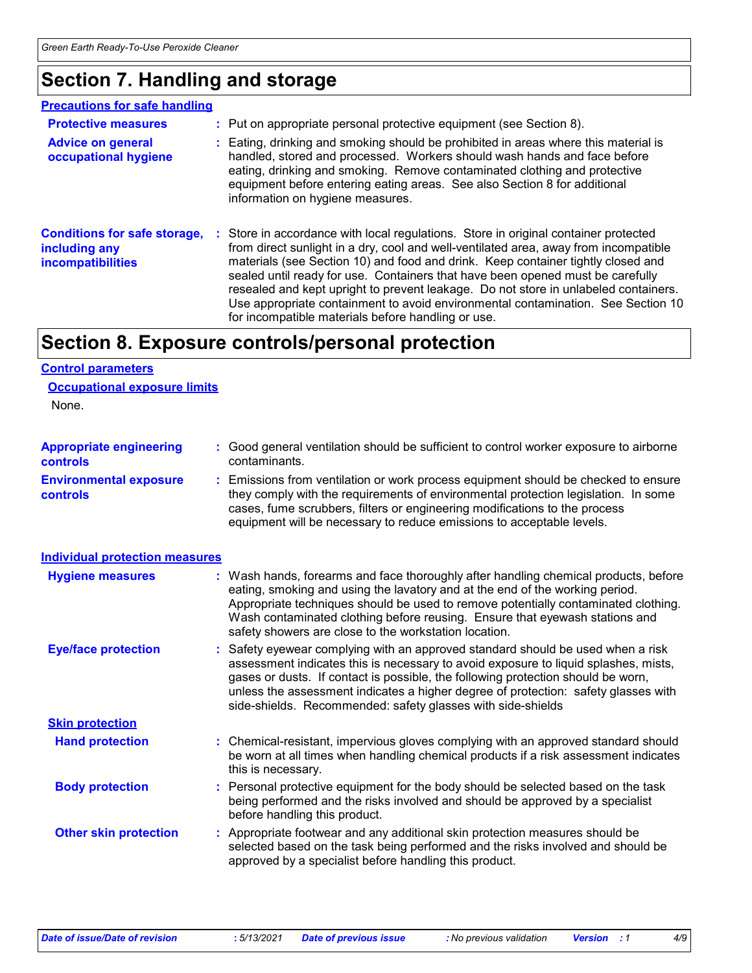# **Section 7. Handling and storage**

#### **Precautions for safe handling**

| <b>Protective measures</b><br><b>Advice on general</b><br>occupational hygiene   | : Put on appropriate personal protective equipment (see Section 8).<br>: Eating, drinking and smoking should be prohibited in areas where this material is<br>handled, stored and processed. Workers should wash hands and face before<br>eating, drinking and smoking. Remove contaminated clothing and protective<br>equipment before entering eating areas. See also Section 8 for additional<br>information on hygiene measures.                                                                                                                                               |
|----------------------------------------------------------------------------------|------------------------------------------------------------------------------------------------------------------------------------------------------------------------------------------------------------------------------------------------------------------------------------------------------------------------------------------------------------------------------------------------------------------------------------------------------------------------------------------------------------------------------------------------------------------------------------|
| <b>Conditions for safe storage,</b><br>including any<br><b>incompatibilities</b> | : Store in accordance with local regulations. Store in original container protected<br>from direct sunlight in a dry, cool and well-ventilated area, away from incompatible<br>materials (see Section 10) and food and drink. Keep container tightly closed and<br>sealed until ready for use. Containers that have been opened must be carefully<br>resealed and kept upright to prevent leakage. Do not store in unlabeled containers.<br>Use appropriate containment to avoid environmental contamination. See Section 10<br>for incompatible materials before handling or use. |

### **Section 8. Exposure controls/personal protection**

#### **Control parameters**

| <b>Occupational exposure limits</b> |  |  |
|-------------------------------------|--|--|
|                                     |  |  |

None.

| <b>Appropriate engineering</b>                   | : Good general ventilation should be sufficient to control worker exposure to airborne                                                                                                                                                                                                                                          |
|--------------------------------------------------|---------------------------------------------------------------------------------------------------------------------------------------------------------------------------------------------------------------------------------------------------------------------------------------------------------------------------------|
| <b>controls</b>                                  | contaminants.                                                                                                                                                                                                                                                                                                                   |
| <b>Environmental exposure</b><br><b>controls</b> | : Emissions from ventilation or work process equipment should be checked to ensure<br>they comply with the requirements of environmental protection legislation. In some<br>cases, fume scrubbers, filters or engineering modifications to the process<br>equipment will be necessary to reduce emissions to acceptable levels. |

| <b>Individual protection measures</b> |                                                                                                                                                                                                                                                                                                                                                                                                                 |
|---------------------------------------|-----------------------------------------------------------------------------------------------------------------------------------------------------------------------------------------------------------------------------------------------------------------------------------------------------------------------------------------------------------------------------------------------------------------|
| <b>Hygiene measures</b>               | : Wash hands, forearms and face thoroughly after handling chemical products, before<br>eating, smoking and using the lavatory and at the end of the working period.<br>Appropriate techniques should be used to remove potentially contaminated clothing.<br>Wash contaminated clothing before reusing. Ensure that eyewash stations and<br>safety showers are close to the workstation location.               |
| <b>Eye/face protection</b>            | : Safety eyewear complying with an approved standard should be used when a risk<br>assessment indicates this is necessary to avoid exposure to liquid splashes, mists,<br>gases or dusts. If contact is possible, the following protection should be worn,<br>unless the assessment indicates a higher degree of protection: safety glasses with<br>side-shields. Recommended: safety glasses with side-shields |
| <b>Skin protection</b>                |                                                                                                                                                                                                                                                                                                                                                                                                                 |
| <b>Hand protection</b>                | : Chemical-resistant, impervious gloves complying with an approved standard should<br>be worn at all times when handling chemical products if a risk assessment indicates<br>this is necessary.                                                                                                                                                                                                                 |
| <b>Body protection</b>                | : Personal protective equipment for the body should be selected based on the task<br>being performed and the risks involved and should be approved by a specialist<br>before handling this product.                                                                                                                                                                                                             |
| <b>Other skin protection</b>          | : Appropriate footwear and any additional skin protection measures should be<br>selected based on the task being performed and the risks involved and should be<br>approved by a specialist before handling this product.                                                                                                                                                                                       |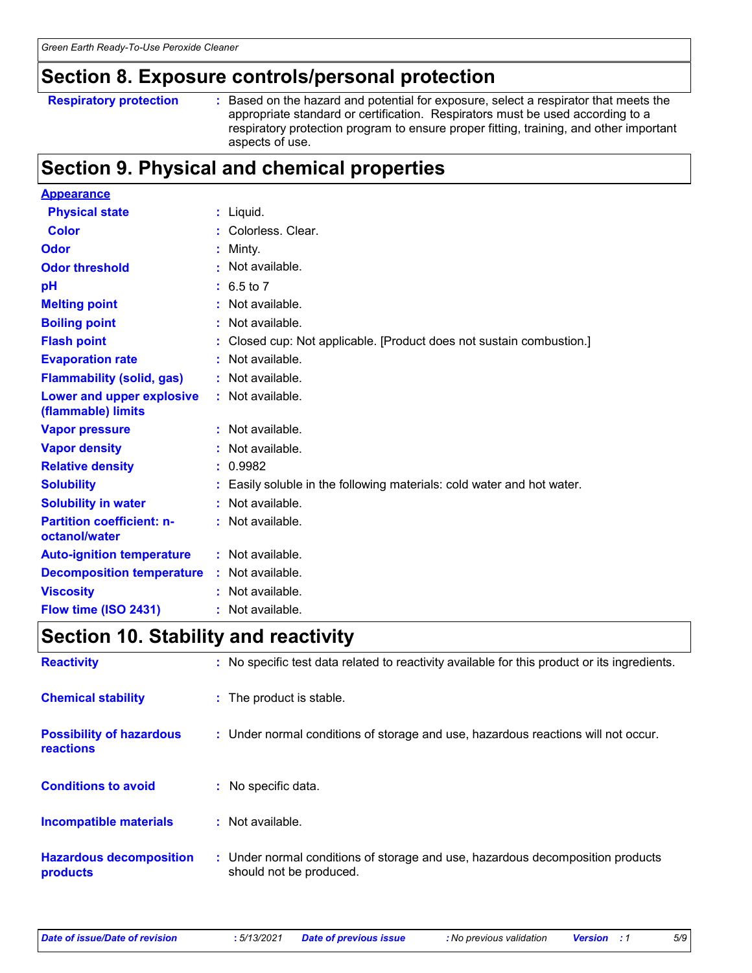### **Section 8. Exposure controls/personal protection**

```
Respiratory protection :
```
: Based on the hazard and potential for exposure, select a respirator that meets the appropriate standard or certification. Respirators must be used according to a respiratory protection program to ensure proper fitting, training, and other important aspects of use.

### **Section 9. Physical and chemical properties**

| <b>Appearance</b>                                 |                                                                        |
|---------------------------------------------------|------------------------------------------------------------------------|
| <b>Physical state</b>                             | $:$ Liquid.                                                            |
| <b>Color</b>                                      | : Colorless. Clear.                                                    |
| Odor                                              | Minty.                                                                 |
| <b>Odor threshold</b>                             | $\cdot$ Not available.                                                 |
| pH                                                | $: 6.5 \text{ to } 7$                                                  |
| <b>Melting point</b>                              | Not available.                                                         |
| <b>Boiling point</b>                              | : Not available.                                                       |
| <b>Flash point</b>                                | Closed cup: Not applicable. [Product does not sustain combustion.]     |
| <b>Evaporation rate</b>                           | Not available.                                                         |
| <b>Flammability (solid, gas)</b>                  | : Not available.                                                       |
| Lower and upper explosive<br>(flammable) limits   | : Not available.                                                       |
| <b>Vapor pressure</b>                             | : Not available.                                                       |
| <b>Vapor density</b>                              | : Not available.                                                       |
| <b>Relative density</b>                           | : 0.9982                                                               |
| <b>Solubility</b>                                 | : Easily soluble in the following materials: cold water and hot water. |
| <b>Solubility in water</b>                        | Not available.                                                         |
| <b>Partition coefficient: n-</b><br>octanol/water | : Not available.                                                       |
| <b>Auto-ignition temperature</b>                  | : Not available.                                                       |
| <b>Decomposition temperature</b>                  | : Not available.                                                       |
| <b>Viscosity</b>                                  | : Not available.                                                       |
| Flow time (ISO 2431)                              | : Not available.                                                       |

### **Section 10. Stability and reactivity**

| <b>Reactivity</b>                            | : No specific test data related to reactivity available for this product or its ingredients.              |
|----------------------------------------------|-----------------------------------------------------------------------------------------------------------|
| <b>Chemical stability</b>                    | : The product is stable.                                                                                  |
| <b>Possibility of hazardous</b><br>reactions | : Under normal conditions of storage and use, hazardous reactions will not occur.                         |
| <b>Conditions to avoid</b>                   | : No specific data.                                                                                       |
| <b>Incompatible materials</b>                | : Not available.                                                                                          |
| <b>Hazardous decomposition</b><br>products   | : Under normal conditions of storage and use, hazardous decomposition products<br>should not be produced. |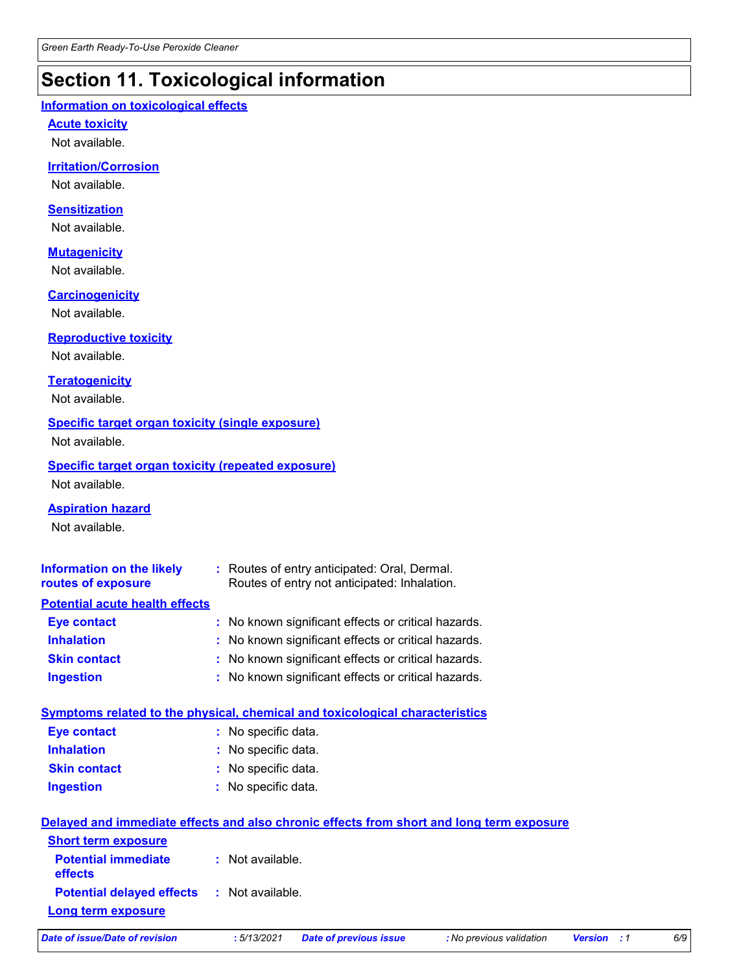# **Section 11. Toxicological information**

#### **Information on toxicological effects**

**Acute toxicity**

Not available.

#### **Irritation/Corrosion**

Not available.

#### **Sensitization**

Not available.

#### **Mutagenicity**

Not available.

#### **Carcinogenicity**

Not available.

#### **Reproductive toxicity**

Not available.

#### **Teratogenicity**

Not available.

#### **Specific target organ toxicity (single exposure)**

Not available.

#### **Specific target organ toxicity (repeated exposure)** Not available.

**Aspiration hazard**

Not available.

| <b>Information on the likely</b><br>routes of exposure | : Routes of entry anticipated: Oral, Dermal.<br>Routes of entry not anticipated: Inhalation. |
|--------------------------------------------------------|----------------------------------------------------------------------------------------------|
| <b>Potential acute health effects</b>                  |                                                                                              |
| <b>Eye contact</b>                                     | : No known significant effects or critical hazards.                                          |
| <b>Inhalation</b>                                      | : No known significant effects or critical hazards.                                          |
| <b>Skin contact</b>                                    | : No known significant effects or critical hazards.                                          |
| <b>Ingestion</b>                                       | : No known significant effects or critical hazards.                                          |

|                     | Symptoms related to the physical, chemical and toxicological characteristics |
|---------------------|------------------------------------------------------------------------------|
| Eye contact         | : No specific data.                                                          |
| <b>Inhalation</b>   | : No specific data.                                                          |
| <b>Skin contact</b> | : No specific data.                                                          |
| <b>Ingestion</b>    | : No specific data.                                                          |
|                     |                                                                              |

|                                                   | Delayed and immediate effects and also chronic effects from short and long term exposure |
|---------------------------------------------------|------------------------------------------------------------------------------------------|
| <b>Short term exposure</b>                        |                                                                                          |
| <b>Potential immediate</b><br><b>effects</b>      | : Not available.                                                                         |
| <b>Potential delayed effects : Not available.</b> |                                                                                          |
| <b>Long term exposure</b>                         |                                                                                          |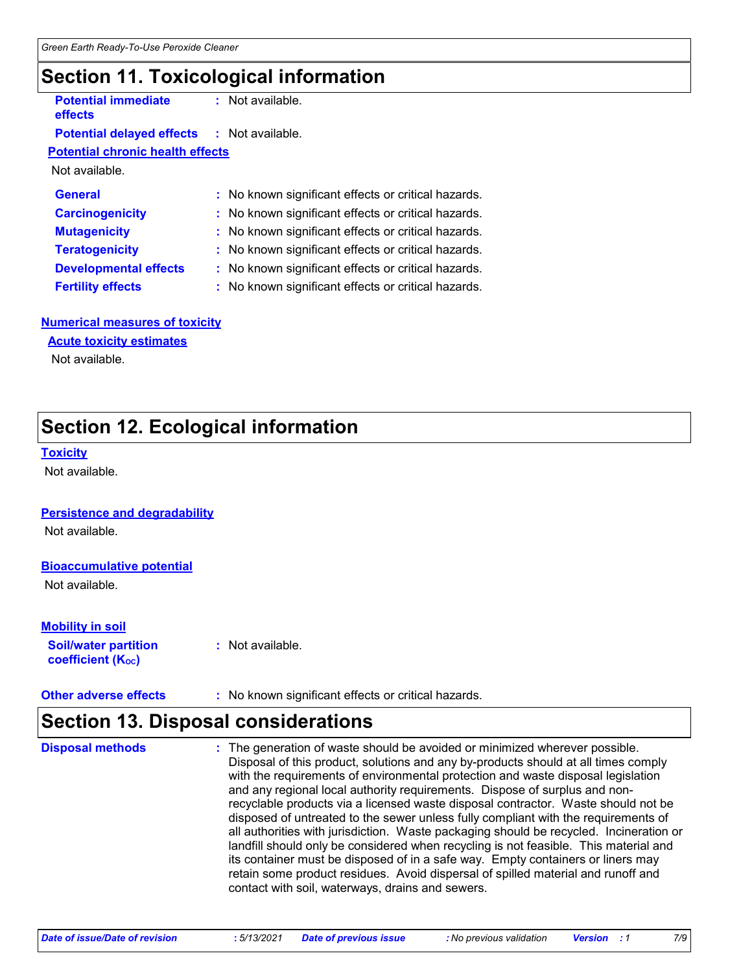### **Section 11. Toxicological information**

**Potential immediate effects**

**:** Not available.

#### **Potential delayed effects :** Not available.

**Potential chronic health effects**

Not available.

| <b>General</b>               | : No known significant effects or critical hazards. |
|------------------------------|-----------------------------------------------------|
| <b>Carcinogenicity</b>       | : No known significant effects or critical hazards. |
| <b>Mutagenicity</b>          | : No known significant effects or critical hazards. |
| <b>Teratogenicity</b>        | : No known significant effects or critical hazards. |
| <b>Developmental effects</b> | : No known significant effects or critical hazards. |
| <b>Fertility effects</b>     | : No known significant effects or critical hazards. |

#### **Numerical measures of toxicity**

#### **Acute toxicity estimates**

Not available.

### **Section 12. Ecological information**

#### **Toxicity**

Not available.

#### **Persistence and degradability**

Not available.

#### **Bioaccumulative potential**

Not available.

#### **Mobility in soil**

**Soil/water partition coefficient (KOC) :** Not available.

#### **Other adverse effects** : No known significant effects or critical hazards.

### **Section 13. Disposal considerations**

| <b>Disposal methods</b> | : The generation of waste should be avoided or minimized wherever possible.<br>Disposal of this product, solutions and any by-products should at all times comply<br>with the requirements of environmental protection and waste disposal legislation<br>and any regional local authority requirements. Dispose of surplus and non-<br>recyclable products via a licensed waste disposal contractor. Waste should not be<br>disposed of untreated to the sewer unless fully compliant with the requirements of<br>all authorities with jurisdiction. Waste packaging should be recycled. Incineration or<br>landfill should only be considered when recycling is not feasible. This material and<br>its container must be disposed of in a safe way. Empty containers or liners may<br>retain some product residues. Avoid dispersal of spilled material and runoff and<br>contact with soil, waterways, drains and sewers. |
|-------------------------|-----------------------------------------------------------------------------------------------------------------------------------------------------------------------------------------------------------------------------------------------------------------------------------------------------------------------------------------------------------------------------------------------------------------------------------------------------------------------------------------------------------------------------------------------------------------------------------------------------------------------------------------------------------------------------------------------------------------------------------------------------------------------------------------------------------------------------------------------------------------------------------------------------------------------------|
|-------------------------|-----------------------------------------------------------------------------------------------------------------------------------------------------------------------------------------------------------------------------------------------------------------------------------------------------------------------------------------------------------------------------------------------------------------------------------------------------------------------------------------------------------------------------------------------------------------------------------------------------------------------------------------------------------------------------------------------------------------------------------------------------------------------------------------------------------------------------------------------------------------------------------------------------------------------------|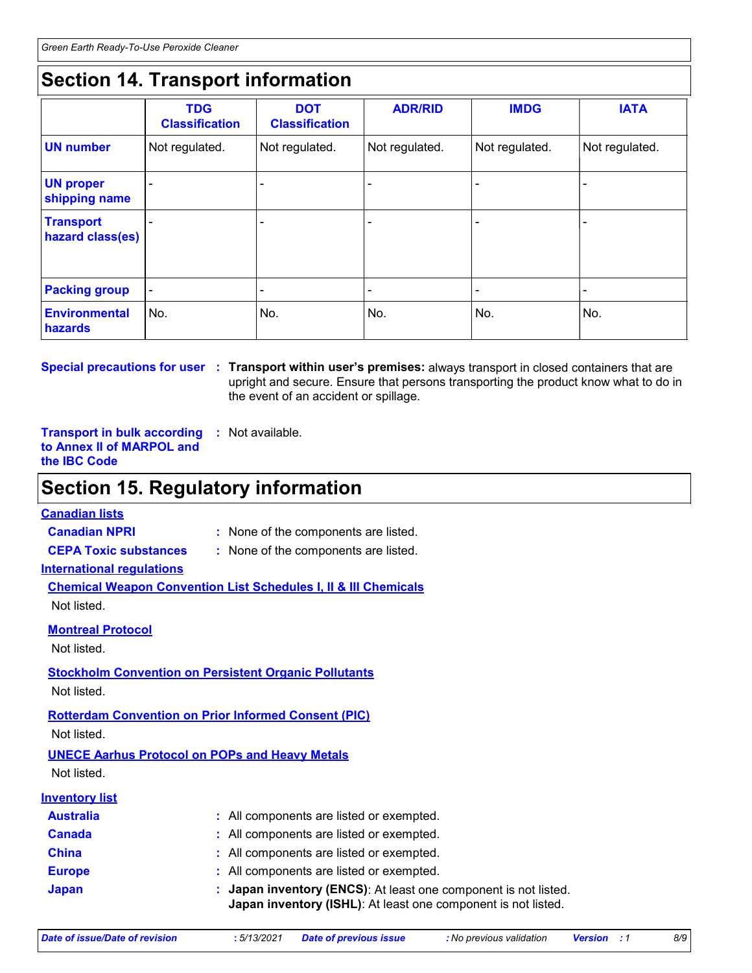### **Section 14. Transport information**

|                                      | <b>TDG</b><br><b>Classification</b> | <b>DOT</b><br><b>Classification</b> | <b>ADR/RID</b>           | <b>IMDG</b>              | <b>IATA</b>    |
|--------------------------------------|-------------------------------------|-------------------------------------|--------------------------|--------------------------|----------------|
| <b>UN number</b>                     | Not regulated.                      | Not regulated.                      | Not regulated.           | Not regulated.           | Not regulated. |
| <b>UN proper</b><br>shipping name    |                                     | $\overline{\phantom{a}}$            | $\overline{\phantom{a}}$ |                          |                |
| <b>Transport</b><br>hazard class(es) |                                     | ۰                                   | ۰                        | $\overline{\phantom{0}}$ |                |
| <b>Packing group</b>                 | $\blacksquare$                      | ۰                                   |                          |                          |                |
| <b>Environmental</b><br>hazards      | No.                                 | No.                                 | No.                      | No.                      | No.            |

**Special precautions for user Transport within user's premises:** always transport in closed containers that are **:** upright and secure. Ensure that persons transporting the product know what to do in the event of an accident or spillage.

**Transport in bulk according :** Not available. **to Annex II of MARPOL and the IBC Code**

### **Section 15. Regulatory information**

#### **Canadian lists**

**Canadian NPRI :** None of the components are listed.

- **CEPA Toxic substances :** None of the components are listed.
- **International regulations**

**Chemical Weapon Convention List Schedules I, II & III Chemicals** Not listed.

**Montreal Protocol**

Not listed.

#### **Stockholm Convention on Persistent Organic Pollutants** Not listed.

**Rotterdam Convention on Prior Informed Consent (PIC)**

Not listed.

**UNECE Aarhus Protocol on POPs and Heavy Metals** Not listed.

| <b>Inventory list</b> |                                                                                                                                  |
|-----------------------|----------------------------------------------------------------------------------------------------------------------------------|
| <b>Australia</b>      | : All components are listed or exempted.                                                                                         |
| <b>Canada</b>         | : All components are listed or exempted.                                                                                         |
| <b>China</b>          | : All components are listed or exempted.                                                                                         |
| <b>Europe</b>         | : All components are listed or exempted.                                                                                         |
| <b>Japan</b>          | : Japan inventory (ENCS): At least one component is not listed.<br>Japan inventory (ISHL): At least one component is not listed. |